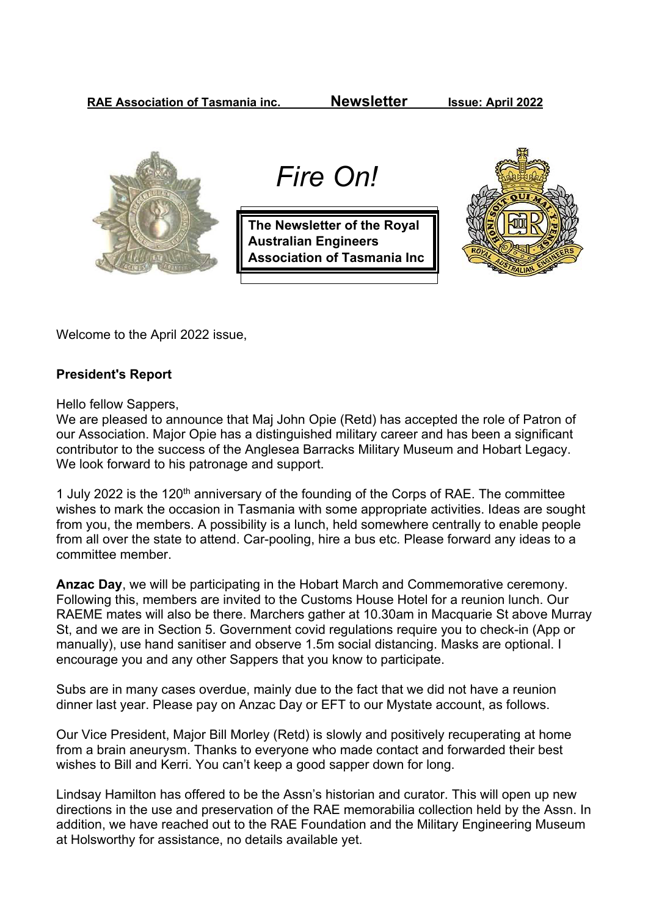**RAE Association of Tasmania inc. Newsletter Issue: April 2022**



 *Fire On!*

**The Newsletter of the Royal Australian Engineers Association of Tasmania Inc**



Welcome to the April 2022 issue,

## **President's Report**

Hello fellow Sappers,

We are pleased to announce that Maj John Opie (Retd) has accepted the role of Patron of our Association. Major Opie has a distinguished military career and has been a significant contributor to the success of the Anglesea Barracks Military Museum and Hobart Legacy. We look forward to his patronage and support.

1 July 2022 is the 120<sup>th</sup> anniversary of the founding of the Corps of RAE. The committee wishes to mark the occasion in Tasmania with some appropriate activities. Ideas are sought from you, the members. A possibility is a lunch, held somewhere centrally to enable people from all over the state to attend. Car-pooling, hire a bus etc. Please forward any ideas to a committee member.

**Anzac Day**, we will be participating in the Hobart March and Commemorative ceremony. Following this, members are invited to the Customs House Hotel for a reunion lunch. Our RAEME mates will also be there. Marchers gather at 10.30am in Macquarie St above Murray St, and we are in Section 5. Government covid regulations require you to check-in (App or manually), use hand sanitiser and observe 1.5m social distancing. Masks are optional. I encourage you and any other Sappers that you know to participate.

Subs are in many cases overdue, mainly due to the fact that we did not have a reunion dinner last year. Please pay on Anzac Day or EFT to our Mystate account, as follows.

Our Vice President, Major Bill Morley (Retd) is slowly and positively recuperating at home from a brain aneurysm. Thanks to everyone who made contact and forwarded their best wishes to Bill and Kerri. You can't keep a good sapper down for long.

Lindsay Hamilton has offered to be the Assn's historian and curator. This will open up new directions in the use and preservation of the RAE memorabilia collection held by the Assn. In addition, we have reached out to the RAE Foundation and the Military Engineering Museum at Holsworthy for assistance, no details available yet.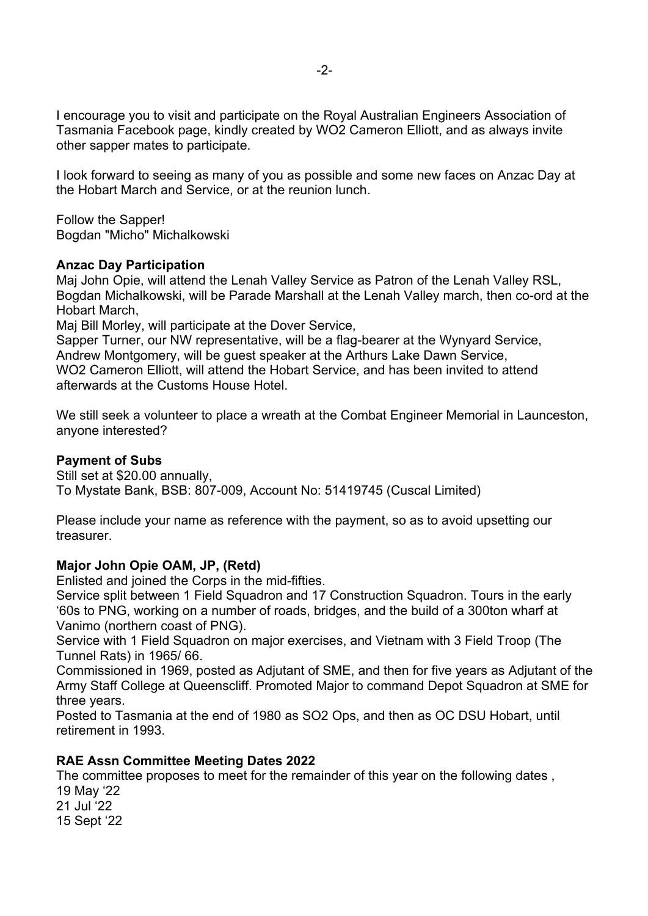I encourage you to visit and participate on the Royal Australian Engineers Association of Tasmania Facebook page, kindly created by WO2 Cameron Elliott, and as always invite other sapper mates to participate.

I look forward to seeing as many of you as possible and some new faces on Anzac Day at the Hobart March and Service, or at the reunion lunch.

Follow the Sapper! Bogdan "Micho" Michalkowski

## **Anzac Day Participation**

Maj John Opie, will attend the Lenah Valley Service as Patron of the Lenah Valley RSL, Bogdan Michalkowski, will be Parade Marshall at the Lenah Valley march, then co-ord at the Hobart March,

Maj Bill Morley, will participate at the Dover Service,

Sapper Turner, our NW representative, will be a flag-bearer at the Wynyard Service, Andrew Montgomery, will be guest speaker at the Arthurs Lake Dawn Service, WO2 Cameron Elliott, will attend the Hobart Service, and has been invited to attend afterwards at the Customs House Hotel.

We still seek a volunteer to place a wreath at the Combat Engineer Memorial in Launceston, anyone interested?

## **Payment of Subs**

Still set at \$20.00 annually, To Mystate Bank, BSB: 807-009, Account No: 51419745 (Cuscal Limited)

Please include your name as reference with the payment, so as to avoid upsetting our treasurer.

# **Major John Opie OAM, JP, (Retd)**

Enlisted and joined the Corps in the mid-fifties.

Service split between 1 Field Squadron and 17 Construction Squadron. Tours in the early '60s to PNG, working on a number of roads, bridges, and the build of a 300ton wharf at Vanimo (northern coast of PNG).

Service with 1 Field Squadron on major exercises, and Vietnam with 3 Field Troop (The Tunnel Rats) in 1965/ 66.

Commissioned in 1969, posted as Adjutant of SME, and then for five years as Adjutant of the Army Staff College at Queenscliff. Promoted Major to command Depot Squadron at SME for three years.

Posted to Tasmania at the end of 1980 as SO2 Ops, and then as OC DSU Hobart, until retirement in 1993.

# **RAE Assn Committee Meeting Dates 2022**

The committee proposes to meet for the remainder of this year on the following dates , 19 May '22

21 Jul '22 15 Sept '22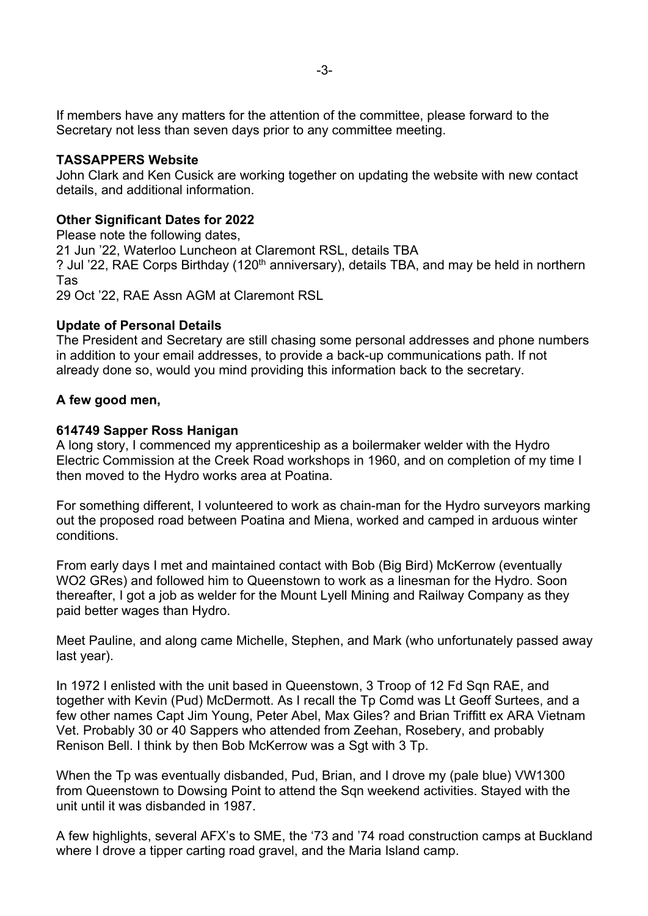If members have any matters for the attention of the committee, please forward to the Secretary not less than seven days prior to any committee meeting.

### **TASSAPPERS Website**

John Clark and Ken Cusick are working together on updating the website with new contact details, and additional information.

### **Other Significant Dates for 2022**

Please note the following dates, 21 Jun '22, Waterloo Luncheon at Claremont RSL, details TBA ? Jul '22, RAE Corps Birthday (120<sup>th</sup> anniversary), details TBA, and may be held in northern Tas 29 Oct '22, RAE Assn AGM at Claremont RSL

#### **Update of Personal Details**

The President and Secretary are still chasing some personal addresses and phone numbers in addition to your email addresses, to provide a back-up communications path. If not already done so, would you mind providing this information back to the secretary.

#### **A few good men,**

#### **614749 Sapper Ross Hanigan**

A long story, I commenced my apprenticeship as a boilermaker welder with the Hydro Electric Commission at the Creek Road workshops in 1960, and on completion of my time I then moved to the Hydro works area at Poatina.

For something different, I volunteered to work as chain-man for the Hydro surveyors marking out the proposed road between Poatina and Miena, worked and camped in arduous winter conditions.

From early days I met and maintained contact with Bob (Big Bird) McKerrow (eventually WO2 GRes) and followed him to Queenstown to work as a linesman for the Hydro. Soon thereafter, I got a job as welder for the Mount Lyell Mining and Railway Company as they paid better wages than Hydro.

Meet Pauline, and along came Michelle, Stephen, and Mark (who unfortunately passed away last year).

In 1972 I enlisted with the unit based in Queenstown, 3 Troop of 12 Fd Sqn RAE, and together with Kevin (Pud) McDermott. As I recall the Tp Comd was Lt Geoff Surtees, and a few other names Capt Jim Young, Peter Abel, Max Giles? and Brian Triffitt ex ARA Vietnam Vet. Probably 30 or 40 Sappers who attended from Zeehan, Rosebery, and probably Renison Bell. I think by then Bob McKerrow was a Sgt with 3 Tp.

When the Tp was eventually disbanded, Pud, Brian, and I drove my (pale blue) VW1300 from Queenstown to Dowsing Point to attend the Sqn weekend activities. Stayed with the unit until it was disbanded in 1987.

A few highlights, several AFX's to SME, the '73 and '74 road construction camps at Buckland where I drove a tipper carting road gravel, and the Maria Island camp.